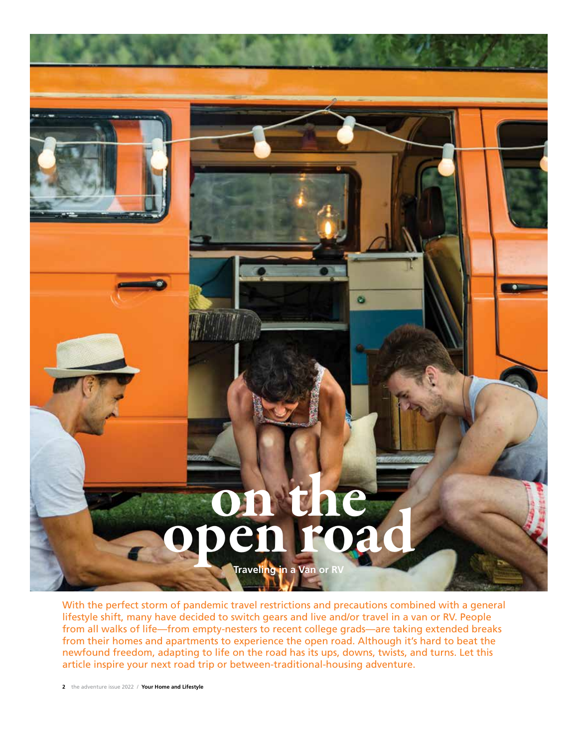

With the perfect storm of pandemic travel restrictions and precautions combined with a general lifestyle shift, many have decided to switch gears and live and/or travel in a van or RV. People from all walks of life—from empty-nesters to recent college grads—are taking extended breaks from their homes and apartments to experience the open road. Although it's hard to beat the newfound freedom, adapting to life on the road has its ups, downs, twists, and turns. Let this article inspire your next road trip or between-traditional-housing adventure.

**2** the adventure issue 2022 / **Your Home and Lifestyle**